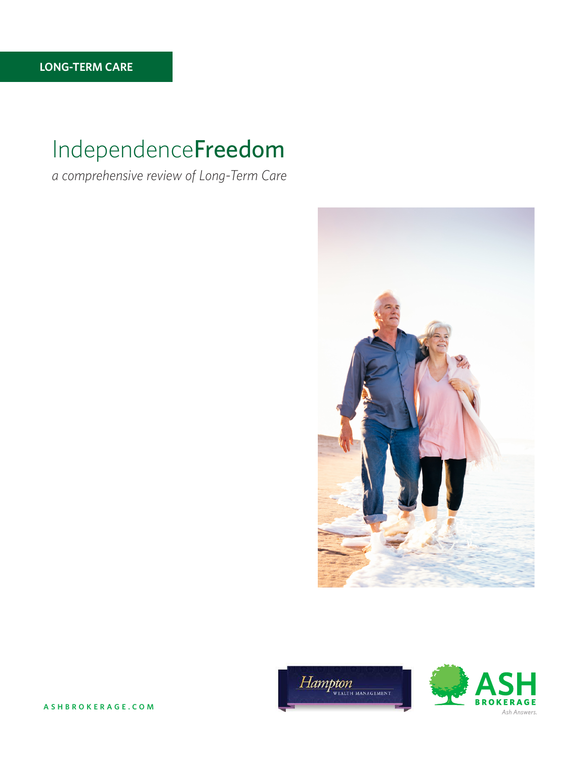# IndependenceFreedom

*a comprehensive review of Long-Term Care*







**ASHBROKERAGE.COM**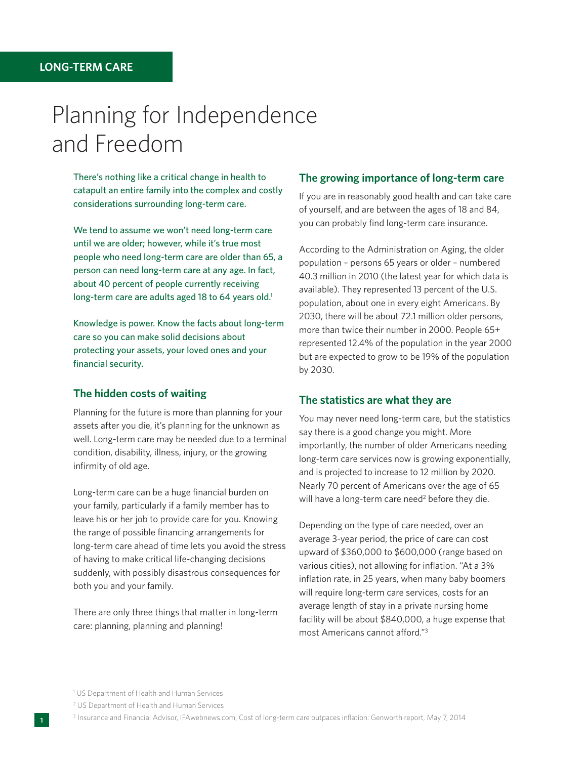# Planning for Independence and Freedom

There's nothing like a critical change in health to catapult an entire family into the complex and costly considerations surrounding long-term care.

We tend to assume we won't need long-term care until we are older; however, while it's true most people who need long-term care are older than 65, a person can need long-term care at any age. In fact, about 40 percent of people currently receiving long-term care are adults aged 18 to 64 years old.<sup>1</sup>

Knowledge is power. Know the facts about long-term care so you can make solid decisions about protecting your assets, your loved ones and your financial security.

## **The hidden costs of waiting**

Planning for the future is more than planning for your assets after you die, it's planning for the unknown as well. Long-term care may be needed due to a terminal condition, disability, illness, injury, or the growing infirmity of old age.

Long-term care can be a huge financial burden on your family, particularly if a family member has to leave his or her job to provide care for you. Knowing the range of possible financing arrangements for long-term care ahead of time lets you avoid the stress of having to make critical life-changing decisions suddenly, with possibly disastrous consequences for both you and your family.

There are only three things that matter in long-term care: planning, planning and planning!

# **The growing importance of long-term care**

If you are in reasonably good health and can take care of yourself, and are between the ages of 18 and 84, you can probably find long-term care insurance.

According to the Administration on Aging, the older population – persons 65 years or older – numbered 40.3 million in 2010 (the latest year for which data is available). They represented 13 percent of the U.S. population, about one in every eight Americans. By 2030, there will be about 72.1 million older persons, more than twice their number in 2000. People 65+ represented 12.4% of the population in the year 2000 but are expected to grow to be 19% of the population by 2030.

# **The statistics are what they are**

You may never need long-term care, but the statistics say there is a good change you might. More importantly, the number of older Americans needing long-term care services now is growing exponentially, and is projected to increase to 12 million by 2020. Nearly 70 percent of Americans over the age of 65 will have a long-term care need<sup>2</sup> before they die.

Depending on the type of care needed, over an average 3-year period, the price of care can cost upward of \$360,000 to \$600,000 (range based on various cities), not allowing for inflation. "At a 3% inflation rate, in 25 years, when many baby boomers will require long-term care services, costs for an average length of stay in a private nursing home facility will be about \$840,000, a huge expense that most Americans cannot afford."3

<sup>&</sup>lt;sup>1</sup> US Department of Health and Human Services

<sup>2</sup> US Department of Health and Human Services

<sup>3</sup> Insurance and Financial Advisor, IFAwebnews.com, Cost of long-term care outpaces inflation: Genworth report, May 7, 2014 **<sup>1</sup>**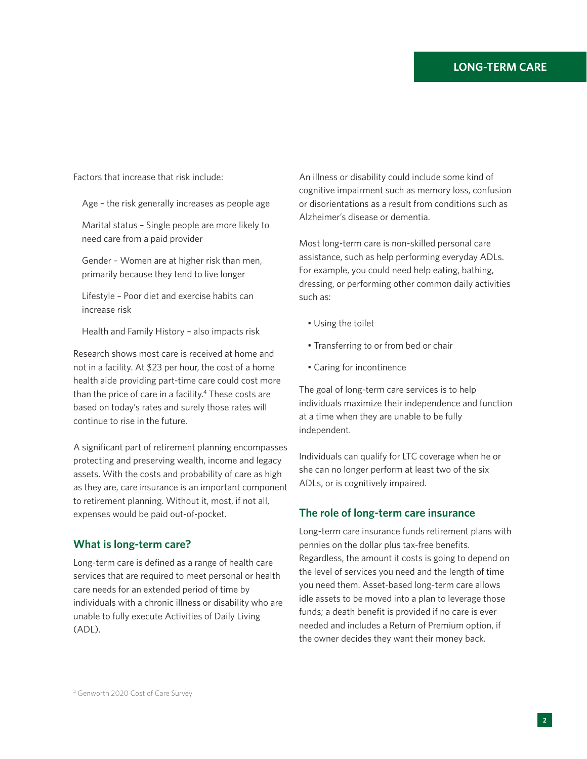Factors that increase that risk include:

Age – the risk generally increases as people age

Marital status – Single people are more likely to need care from a paid provider

Gender – Women are at higher risk than men, primarily because they tend to live longer

Lifestyle – Poor diet and exercise habits can increase risk

Health and Family History – also impacts risk

Research shows most care is received at home and not in a facility. At \$23 per hour, the cost of a home health aide providing part-time care could cost more than the price of care in a facility.<sup>4</sup> These costs are based on today's rates and surely those rates will continue to rise in the future.

A significant part of retirement planning encompasses protecting and preserving wealth, income and legacy assets. With the costs and probability of care as high as they are, care insurance is an important component to retirement planning. Without it, most, if not all, expenses would be paid out-of-pocket.

# **What is long-term care?**

Long-term care is defined as a range of health care services that are required to meet personal or health care needs for an extended period of time by individuals with a chronic illness or disability who are unable to fully execute Activities of Daily Living (ADL).

An illness or disability could include some kind of cognitive impairment such as memory loss, confusion or disorientations as a result from conditions such as Alzheimer's disease or dementia.

Most long-term care is non-skilled personal care assistance, such as help performing everyday ADLs. For example, you could need help eating, bathing, dressing, or performing other common daily activities such as:

- Using the toilet
- Transferring to or from bed or chair
- Caring for incontinence

The goal of long-term care services is to help individuals maximize their independence and function at a time when they are unable to be fully independent.

Individuals can qualify for LTC coverage when he or she can no longer perform at least two of the six ADLs, or is cognitively impaired.

## **The role of long-term care insurance**

Long-term care insurance funds retirement plans with pennies on the dollar plus tax-free benefits. Regardless, the amount it costs is going to depend on the level of services you need and the length of time you need them. Asset-based long-term care allows idle assets to be moved into a plan to leverage those funds; a death benefit is provided if no care is ever needed and includes a Return of Premium option, if the owner decides they want their money back.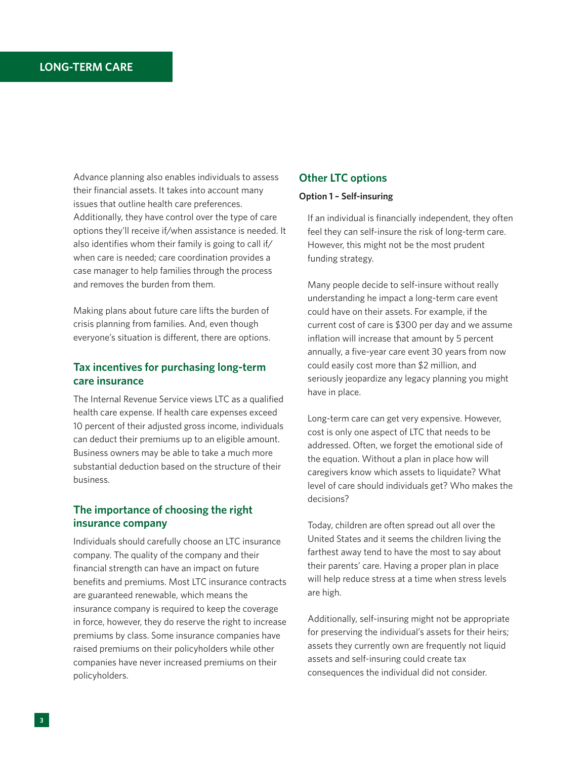Advance planning also enables individuals to assess their financial assets. It takes into account many issues that outline health care preferences. Additionally, they have control over the type of care options they'll receive if/when assistance is needed. It also identifies whom their family is going to call if/ when care is needed; care coordination provides a case manager to help families through the process and removes the burden from them.

Making plans about future care lifts the burden of crisis planning from families. And, even though everyone's situation is different, there are options.

# **Tax incentives for purchasing long-term care insurance**

The Internal Revenue Service views LTC as a qualified health care expense. If health care expenses exceed 10 percent of their adjusted gross income, individuals can deduct their premiums up to an eligible amount. Business owners may be able to take a much more substantial deduction based on the structure of their business.

# **The importance of choosing the right insurance company**

Individuals should carefully choose an LTC insurance company. The quality of the company and their financial strength can have an impact on future benefits and premiums. Most LTC insurance contracts are guaranteed renewable, which means the insurance company is required to keep the coverage in force, however, they do reserve the right to increase premiums by class. Some insurance companies have raised premiums on their policyholders while other companies have never increased premiums on their policyholders.

# **Other LTC options**

## **Option 1 – Self-insuring**

If an individual is financially independent, they often feel they can self-insure the risk of long-term care. However, this might not be the most prudent funding strategy.

Many people decide to self-insure without really understanding he impact a long-term care event could have on their assets. For example, if the current cost of care is \$300 per day and we assume inflation will increase that amount by 5 percent annually, a five-year care event 30 years from now could easily cost more than \$2 million, and seriously jeopardize any legacy planning you might have in place.

Long-term care can get very expensive. However, cost is only one aspect of LTC that needs to be addressed. Often, we forget the emotional side of the equation. Without a plan in place how will caregivers know which assets to liquidate? What level of care should individuals get? Who makes the decisions?

Today, children are often spread out all over the United States and it seems the children living the farthest away tend to have the most to say about their parents' care. Having a proper plan in place will help reduce stress at a time when stress levels are high.

Additionally, self-insuring might not be appropriate for preserving the individual's assets for their heirs; assets they currently own are frequently not liquid assets and self-insuring could create tax consequences the individual did not consider.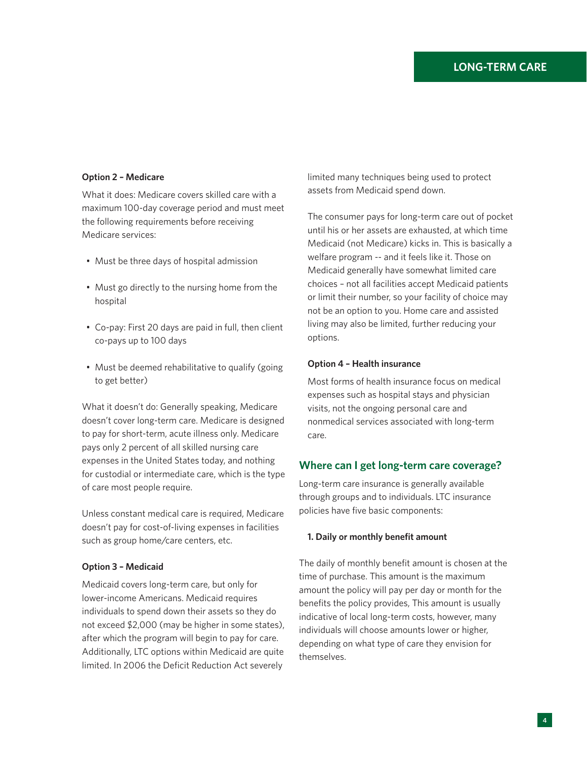## **Option 2 – Medicare**

What it does: Medicare covers skilled care with a maximum 100-day coverage period and must meet the following requirements before receiving Medicare services:

- Must be three days of hospital admission
- Must go directly to the nursing home from the hospital
- Co-pay: First 20 days are paid in full, then client co-pays up to 100 days
- Must be deemed rehabilitative to qualify (going to get better)

What it doesn't do: Generally speaking, Medicare doesn't cover long-term care. Medicare is designed to pay for short-term, acute illness only. Medicare pays only 2 percent of all skilled nursing care expenses in the United States today, and nothing for custodial or intermediate care, which is the type of care most people require.

Unless constant medical care is required, Medicare doesn't pay for cost-of-living expenses in facilities such as group home/care centers, etc.

#### **Option 3 – Medicaid**

Medicaid covers long-term care, but only for lower-income Americans. Medicaid requires individuals to spend down their assets so they do not exceed \$2,000 (may be higher in some states), after which the program will begin to pay for care. Additionally, LTC options within Medicaid are quite limited. In 2006 the Deficit Reduction Act severely

limited many techniques being used to protect assets from Medicaid spend down.

The consumer pays for long-term care out of pocket until his or her assets are exhausted, at which time Medicaid (not Medicare) kicks in. This is basically a welfare program -- and it feels like it. Those on Medicaid generally have somewhat limited care choices – not all facilities accept Medicaid patients or limit their number, so your facility of choice may not be an option to you. Home care and assisted living may also be limited, further reducing your options.

## **Option 4 – Health insurance**

Most forms of health insurance focus on medical expenses such as hospital stays and physician visits, not the ongoing personal care and nonmedical services associated with long-term care.

## **Where can I get long-term care coverage?**

Long-term care insurance is generally available through groups and to individuals. LTC insurance policies have five basic components:

#### **1. Daily or monthly benefit amount**

The daily of monthly benefit amount is chosen at the time of purchase. This amount is the maximum amount the policy will pay per day or month for the benefits the policy provides, This amount is usually indicative of local long-term costs, however, many individuals will choose amounts lower or higher, depending on what type of care they envision for themselves.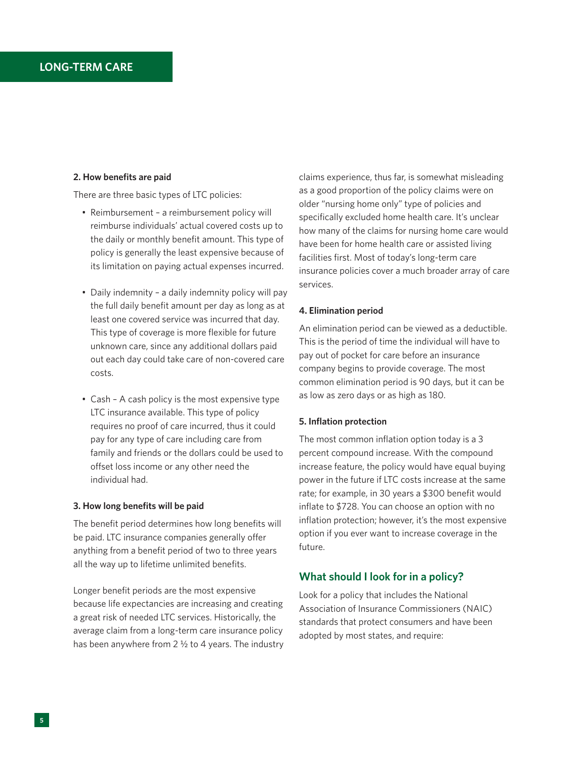## **2. How benefits are paid**

There are three basic types of LTC policies:

- Reimbursement a reimbursement policy will reimburse individuals' actual covered costs up to the daily or monthly benefit amount. This type of policy is generally the least expensive because of its limitation on paying actual expenses incurred.
- Daily indemnity a daily indemnity policy will pay the full daily benefit amount per day as long as at least one covered service was incurred that day. This type of coverage is more flexible for future unknown care, since any additional dollars paid out each day could take care of non-covered care costs.
- Cash A cash policy is the most expensive type LTC insurance available. This type of policy requires no proof of care incurred, thus it could pay for any type of care including care from family and friends or the dollars could be used to offset loss income or any other need the individual had.

## **3. How long benefits will be paid**

The benefit period determines how long benefits will be paid. LTC insurance companies generally offer anything from a benefit period of two to three years all the way up to lifetime unlimited benefits.

Longer benefit periods are the most expensive because life expectancies are increasing and creating a great risk of needed LTC services. Historically, the average claim from a long-term care insurance policy has been anywhere from 2 ½ to 4 years. The industry

claims experience, thus far, is somewhat misleading as a good proportion of the policy claims were on older "nursing home only" type of policies and specifically excluded home health care. It's unclear how many of the claims for nursing home care would have been for home health care or assisted living facilities first. Most of today's long-term care insurance policies cover a much broader array of care services.

#### **4. Elimination period**

An elimination period can be viewed as a deductible. This is the period of time the individual will have to pay out of pocket for care before an insurance company begins to provide coverage. The most common elimination period is 90 days, but it can be as low as zero days or as high as 180.

#### **5. Inflation protection**

The most common inflation option today is a 3 percent compound increase. With the compound increase feature, the policy would have equal buying power in the future if LTC costs increase at the same rate; for example, in 30 years a \$300 benefit would inflate to \$728. You can choose an option with no inflation protection; however, it's the most expensive option if you ever want to increase coverage in the future.

# **What should I look for in a policy?**

Look for a policy that includes the National Association of Insurance Commissioners (NAIC) standards that protect consumers and have been adopted by most states, and require: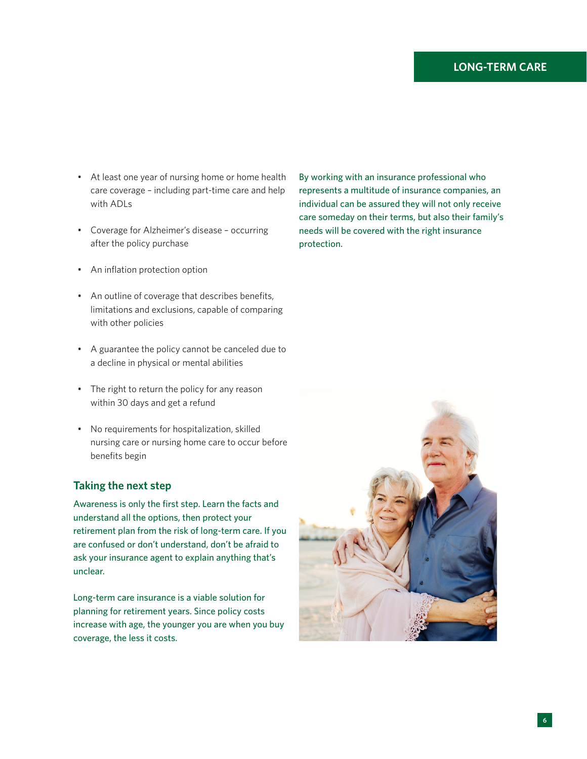- At least one year of nursing home or home health care coverage – including part-time care and help with ADLs
- Coverage for Alzheimer's disease occurring after the policy purchase
- An inflation protection option
- An outline of coverage that describes benefits, limitations and exclusions, capable of comparing with other policies
- A guarantee the policy cannot be canceled due to a decline in physical or mental abilities
- The right to return the policy for any reason within 30 days and get a refund
- No requirements for hospitalization, skilled nursing care or nursing home care to occur before benefits begin

# **Taking the next step**

Awareness is only the first step. Learn the facts and understand all the options, then protect your retirement plan from the risk of long-term care. If you are confused or don't understand, don't be afraid to ask your insurance agent to explain anything that's unclear.

Long-term care insurance is a viable solution for planning for retirement years. Since policy costs increase with age, the younger you are when you buy coverage, the less it costs.

By working with an insurance professional who represents a multitude of insurance companies, an individual can be assured they will not only receive care someday on their terms, but also their family's needs will be covered with the right insurance protection.